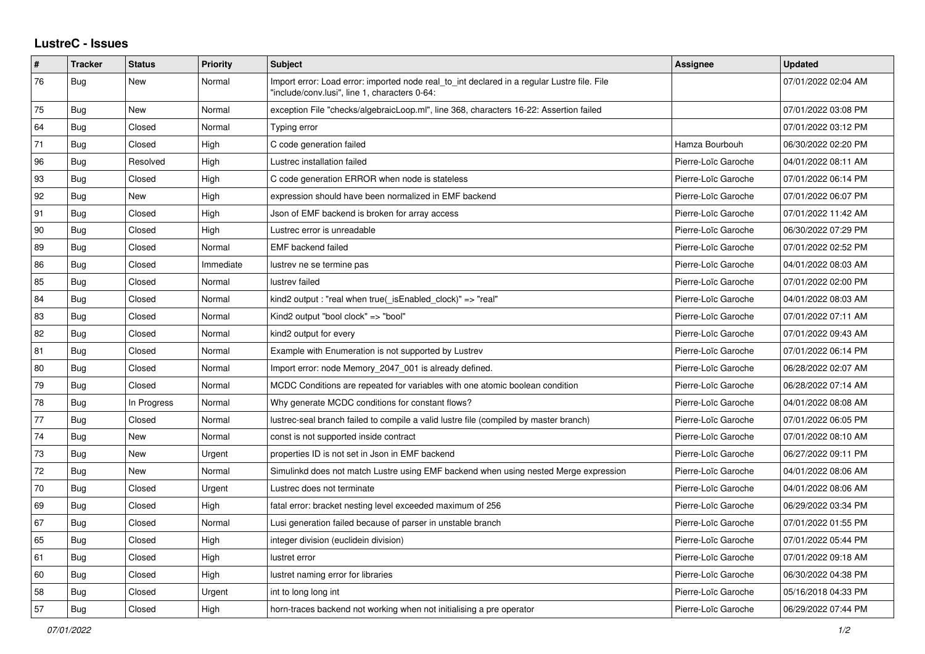## **LustreC - Issues**

| $\sharp$ | <b>Tracker</b> | <b>Status</b> | Priority  | <b>Subject</b>                                                                                                                               | <b>Assignee</b>     | <b>Updated</b>      |
|----------|----------------|---------------|-----------|----------------------------------------------------------------------------------------------------------------------------------------------|---------------------|---------------------|
| 76       | Bug            | New           | Normal    | Import error: Load error: imported node real to int declared in a regular Lustre file. File<br>"include/conv.lusi", line 1, characters 0-64: |                     | 07/01/2022 02:04 AM |
| 75       | Bug            | New           | Normal    | exception File "checks/algebraicLoop.ml", line 368, characters 16-22: Assertion failed                                                       |                     | 07/01/2022 03:08 PM |
| 64       | Bug            | Closed        | Normal    | Typing error                                                                                                                                 |                     | 07/01/2022 03:12 PM |
| 71       | <b>Bug</b>     | Closed        | High      | C code generation failed                                                                                                                     | Hamza Bourbouh      | 06/30/2022 02:20 PM |
| 96       | <b>Bug</b>     | Resolved      | High      | Lustrec installation failed                                                                                                                  | Pierre-Loïc Garoche | 04/01/2022 08:11 AM |
| 93       | Bug            | Closed        | High      | C code generation ERROR when node is stateless                                                                                               | Pierre-Loïc Garoche | 07/01/2022 06:14 PM |
| 92       | Bug            | <b>New</b>    | High      | expression should have been normalized in EMF backend                                                                                        | Pierre-Loïc Garoche | 07/01/2022 06:07 PM |
| 91       | <b>Bug</b>     | Closed        | High      | Json of EMF backend is broken for array access                                                                                               | Pierre-Loïc Garoche | 07/01/2022 11:42 AM |
| 90       | <b>Bug</b>     | Closed        | High      | Lustrec error is unreadable                                                                                                                  | Pierre-Loïc Garoche | 06/30/2022 07:29 PM |
| 89       | Bug            | Closed        | Normal    | <b>EMF</b> backend failed                                                                                                                    | Pierre-Loïc Garoche | 07/01/2022 02:52 PM |
| 86       | <b>Bug</b>     | Closed        | Immediate | lustrev ne se termine pas                                                                                                                    | Pierre-Loïc Garoche | 04/01/2022 08:03 AM |
| 85       | <b>Bug</b>     | Closed        | Normal    | lustrev failed                                                                                                                               | Pierre-Loïc Garoche | 07/01/2022 02:00 PM |
| 84       | <b>Bug</b>     | Closed        | Normal    | kind2 output: "real when true( isEnabled clock)" => "real"                                                                                   | Pierre-Loïc Garoche | 04/01/2022 08:03 AM |
| 83       | Bug            | Closed        | Normal    | Kind2 output "bool clock" => "bool"                                                                                                          | Pierre-Loïc Garoche | 07/01/2022 07:11 AM |
| 82       | <b>Bug</b>     | Closed        | Normal    | kind2 output for every                                                                                                                       | Pierre-Loïc Garoche | 07/01/2022 09:43 AM |
| 81       | Bug            | Closed        | Normal    | Example with Enumeration is not supported by Lustrev                                                                                         | Pierre-Loïc Garoche | 07/01/2022 06:14 PM |
| 80       | <b>Bug</b>     | Closed        | Normal    | Import error: node Memory 2047 001 is already defined.                                                                                       | Pierre-Loïc Garoche | 06/28/2022 02:07 AM |
| 79       | Bug            | Closed        | Normal    | MCDC Conditions are repeated for variables with one atomic boolean condition                                                                 | Pierre-Loïc Garoche | 06/28/2022 07:14 AM |
| 78       | Bug            | In Progress   | Normal    | Why generate MCDC conditions for constant flows?                                                                                             | Pierre-Loïc Garoche | 04/01/2022 08:08 AM |
| 77       | Bug            | Closed        | Normal    | lustrec-seal branch failed to compile a valid lustre file (compiled by master branch)                                                        | Pierre-Loïc Garoche | 07/01/2022 06:05 PM |
| 74       | <b>Bug</b>     | <b>New</b>    | Normal    | const is not supported inside contract                                                                                                       | Pierre-Loïc Garoche | 07/01/2022 08:10 AM |
| 73       | <b>Bug</b>     | New           | Urgent    | properties ID is not set in Json in EMF backend                                                                                              | Pierre-Loïc Garoche | 06/27/2022 09:11 PM |
| 72       | <b>Bug</b>     | <b>New</b>    | Normal    | Simulinkd does not match Lustre using EMF backend when using nested Merge expression                                                         | Pierre-Loïc Garoche | 04/01/2022 08:06 AM |
| 70       | Bug            | Closed        | Urgent    | Lustrec does not terminate                                                                                                                   | Pierre-Loïc Garoche | 04/01/2022 08:06 AM |
| 69       | <b>Bug</b>     | Closed        | High      | fatal error: bracket nesting level exceeded maximum of 256                                                                                   | Pierre-Loïc Garoche | 06/29/2022 03:34 PM |
| 67       | <b>Bug</b>     | Closed        | Normal    | Lusi generation failed because of parser in unstable branch                                                                                  | Pierre-Loïc Garoche | 07/01/2022 01:55 PM |
| 65       | Bug            | Closed        | High      | integer division (euclidein division)                                                                                                        | Pierre-Loïc Garoche | 07/01/2022 05:44 PM |
| 61       | Bug            | Closed        | High      | lustret error                                                                                                                                | Pierre-Loïc Garoche | 07/01/2022 09:18 AM |
| 60       | Bug            | Closed        | High      | lustret naming error for libraries                                                                                                           | Pierre-Loïc Garoche | 06/30/2022 04:38 PM |
| 58       | <b>Bug</b>     | Closed        | Urgent    | int to long long int                                                                                                                         | Pierre-Loïc Garoche | 05/16/2018 04:33 PM |
| 57       | <b>Bug</b>     | Closed        | High      | horn-traces backend not working when not initialising a pre operator                                                                         | Pierre-Loïc Garoche | 06/29/2022 07:44 PM |